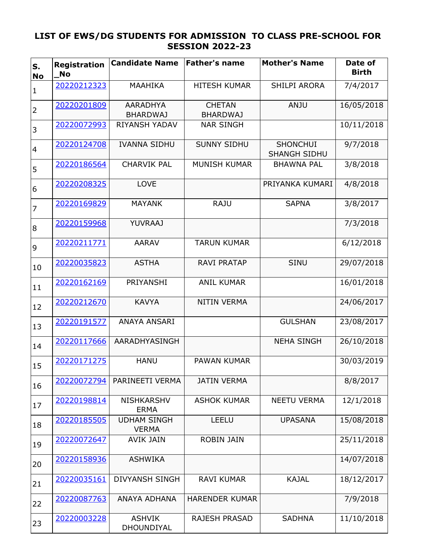## **LIST OF EWS/DG STUDENTS FOR ADMISSION TO CLASS PRE-SCHOOL FOR SESSION 2022-23**

| S.<br><b>No</b> | <b>Registration</b><br><b>No</b> | <b>Candidate Name</b>              | <b>Father's name</b>             | <b>Mother's Name</b>                   | Date of<br><b>Birth</b> |
|-----------------|----------------------------------|------------------------------------|----------------------------------|----------------------------------------|-------------------------|
| $\mathbf 1$     | 20220212323                      | <b>MAAHIKA</b>                     | <b>HITESH KUMAR</b>              | <b>SHILPI ARORA</b>                    | 7/4/2017                |
| $\overline{2}$  | 20220201809                      | <b>AARADHYA</b><br><b>BHARDWAJ</b> | <b>CHETAN</b><br><b>BHARDWAJ</b> | <b>ANJU</b>                            | 16/05/2018              |
| 3               | 20220072993                      | <b>RIYANSH YADAV</b>               | <b>NAR SINGH</b>                 |                                        | 10/11/2018              |
| $\overline{4}$  | 20220124708                      | <b>IVANNA SIDHU</b>                | <b>SUNNY SIDHU</b>               | <b>SHONCHUI</b><br><b>SHANGH SIDHU</b> | 9/7/2018                |
| 5               | 20220186564                      | <b>CHARVIK PAL</b>                 | <b>MUNISH KUMAR</b>              | <b>BHAWNA PAL</b>                      | 3/8/2018                |
| 6               | 20220208325                      | LOVE                               |                                  | PRIYANKA KUMARI                        | 4/8/2018                |
| $\overline{7}$  | 20220169829                      | <b>MAYANK</b>                      | <b>RAJU</b>                      | <b>SAPNA</b>                           | 3/8/2017                |
| 8               | 20220159968                      | <b>YUVRAAJ</b>                     |                                  |                                        | 7/3/2018                |
| 9               | 20220211771                      | <b>AARAV</b>                       | <b>TARUN KUMAR</b>               |                                        | 6/12/2018               |
| 10              | 20220035823                      | <b>ASTHA</b>                       | <b>RAVI PRATAP</b>               | <b>SINU</b>                            | 29/07/2018              |
| 11              | 20220162169                      | PRIYANSHI                          | <b>ANIL KUMAR</b>                |                                        | 16/01/2018              |
| 12              | 20220212670                      | <b>KAVYA</b>                       | <b>NITIN VERMA</b>               |                                        | 24/06/2017              |
| 13              | 20220191577                      | ANAYA ANSARI                       |                                  | <b>GULSHAN</b>                         | 23/08/2017              |
| 14              | 20220117666                      | AARADHYASINGH                      |                                  | <b>NEHA SINGH</b>                      | 26/10/2018              |
| 15              | 20220171275                      | <b>HANU</b>                        | <b>PAWAN KUMAR</b>               |                                        | 30/03/2019              |
| 16              | 20220072794                      | PARINEETI VERMA                    | <b>JATIN VERMA</b>               |                                        | 8/8/2017                |
| 17              | 20220198814                      | <b>NISHKARSHV</b><br><b>ERMA</b>   | <b>ASHOK KUMAR</b>               | <b>NEETU VERMA</b>                     | 12/1/2018               |
| 18              | 20220185505                      | <b>UDHAM SINGH</b><br><b>VERMA</b> | <b>LEELU</b>                     | <b>UPASANA</b>                         | 15/08/2018              |
| 19              | 20220072647                      | <b>AVIK JAIN</b>                   | <b>ROBIN JAIN</b>                |                                        | 25/11/2018              |
| 20              | 20220158936                      | <b>ASHWIKA</b>                     |                                  |                                        | 14/07/2018              |
| 21              | 20220035161                      | <b>DIVYANSH SINGH</b>              | <b>RAVI KUMAR</b>                | <b>KAJAL</b>                           | 18/12/2017              |
| 22              | 20220087763                      | ANAYA ADHANA                       | <b>HARENDER KUMAR</b>            |                                        | 7/9/2018                |
| 23              | 20220003228                      | <b>ASHVIK</b><br>DHOUNDIYAL        | <b>RAJESH PRASAD</b>             | <b>SADHNA</b>                          | 11/10/2018              |